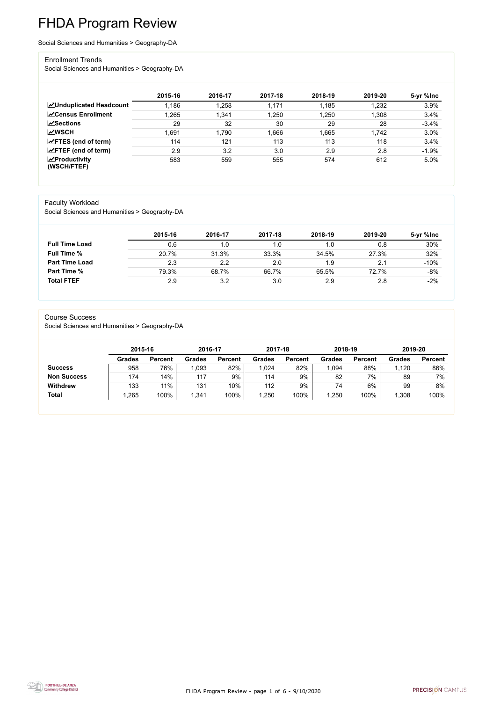FHDA Program Review - page 1 of 6 - 9/10/2020



# FHDA Program Review

Social Sciences and Humanities > Geography-DA

#### Enrollment Trends

Social Sciences and Humanities > Geography-DA

|                                    | 2015-16 | 2016-17 | 2017-18 | 2018-19 | 2019-20 | 5-yr %lnc |
|------------------------------------|---------|---------|---------|---------|---------|-----------|
| <b>ZUnduplicated Headcount</b>     | 1,186   | 1,258   | 1,171   | 1,185   | 1,232   | 3.9%      |
| <b>∠</b> Census Enrollment         | 1,265   | 1,341   | 1,250   | 1,250   | 1,308   | 3.4%      |
| <b>ZSections</b>                   | 29      | 32      | 30      | 29      | 28      | $-3.4%$   |
| <b>MWSCH</b>                       | .691    | 1,790   | 1,666   | 1,665   | 1,742   | 3.0%      |
| $\angle$ FTES (end of term)        | 114     | 121     | 113     | 113     | 118     | 3.4%      |
| $\angle$ FTEF (end of term)        | 2.9     | 3.2     | 3.0     | 2.9     | 2.8     | $-1.9%$   |
| $\chi$ Productivity<br>(WSCH/FTEF) | 583     | 559     | 555     | 574     | 612     | 5.0%      |

#### Faculty Workload

Social Sciences and Humanities > Geography-DA

|                       | 2015-16 | 2016-17 | 2017-18 | 2018-19 | 2019-20 | 5-yr %lnc |
|-----------------------|---------|---------|---------|---------|---------|-----------|
| <b>Full Time Load</b> | 0.6     | 1.0     | 1.0     |         | 0.8     | 30%       |
| <b>Full Time %</b>    | 20.7%   | 31.3%   | 33.3%   | 34.5%   | 27.3%   | 32%       |
| <b>Part Time Load</b> | 2.3     | 2.2     | 2.0     | 1.9     | 2.1     | $-10%$    |
| <b>Part Time %</b>    | 79.3%   | 68.7%   | 66.7%   | 65.5%   | 72.7%   | $-8%$     |
| <b>Total FTEF</b>     | 2.9     | 3.2     | 3.0     | 2.9     | 2.8     | $-2%$     |

#### Course Success

Social Sciences and Humanities > Geography-DA

| 2015-16       |                | 2016-17 |                | 2017-18 |                | 2018-19       |                | 2019-20       |                |
|---------------|----------------|---------|----------------|---------|----------------|---------------|----------------|---------------|----------------|
| <b>Grades</b> | <b>Percent</b> | Grades  | <b>Percent</b> | Grades  | <b>Percent</b> | <b>Grades</b> | <b>Percent</b> | <b>Grades</b> | <b>Percent</b> |
| 958           | 76%            | 093     | 82%            | 024     | 82%            | .094          | 88%            | 1,120         | 86%            |
| 174           | 14%            | 117     | 9%             | 114     | 9%             | 82            | 7%             | 89            | 7%             |
| 133           | 11%            | 131     | 10%            | 112     | 9%             | 74            | 6%             | 99            | 8%             |
| .265          | 100%           | ,341    | 100%           | ,250    | 100%           | ,250          | 100%           | 1,308         | 100%           |
|               |                |         |                |         |                |               |                |               |                |

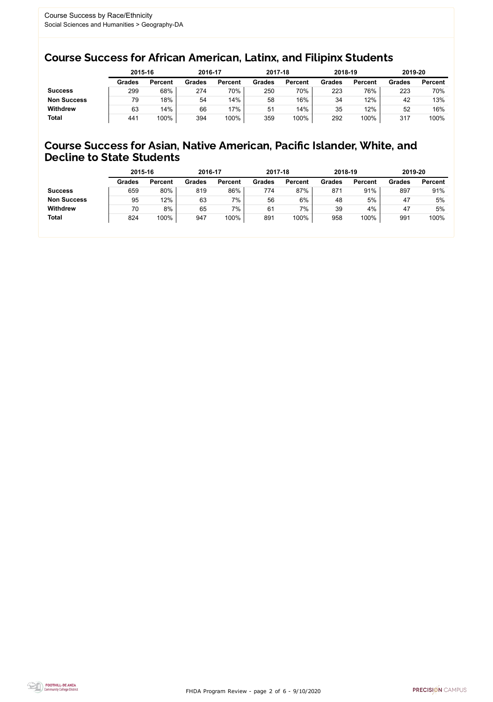FHDA Program Review - page 2 of 6 - 9/10/2020



### Course Success for African American, Latinx, and Filipinx Students

### Course Success for Asian, Native American, Pacific Islander, White, and Decline to State Students

|                    | 2015-16       |                | 2016-17       |                | 2017-18       |                | 2018-19       |                | 2019-20       |                |
|--------------------|---------------|----------------|---------------|----------------|---------------|----------------|---------------|----------------|---------------|----------------|
|                    | <b>Grades</b> | <b>Percent</b> | <b>Grades</b> | <b>Percent</b> | <b>Grades</b> | <b>Percent</b> | <b>Grades</b> | <b>Percent</b> | <b>Grades</b> | <b>Percent</b> |
| <b>Success</b>     | 299           | 68%            | 274           | 70%            | 250           | 70%            | 223           | 76%            | 223           | 70%            |
| <b>Non Success</b> | 79            | 18%            | 54            | 14%            | 58            | 16%            | 34            | 12%            | 42            | 13%            |
| <b>Withdrew</b>    | 63            | 14%            | 66            | 17%            | 51            | 14%            | 35            | 12%            | 52            | 16%            |
| <b>Total</b>       | 441           | 100%           | 394           | 100%           | 359           | 100%           | 292           | 100%           | 317           | 100%           |

|                    | 2015-16       |                | 2016-17       |                | 2017-18       |                | 2018-19       |                | 2019-20       |                |
|--------------------|---------------|----------------|---------------|----------------|---------------|----------------|---------------|----------------|---------------|----------------|
|                    | <b>Grades</b> | <b>Percent</b> | <b>Grades</b> | <b>Percent</b> | <b>Grades</b> | <b>Percent</b> | <b>Grades</b> | <b>Percent</b> | <b>Grades</b> | <b>Percent</b> |
| <b>Success</b>     | 659           | 80%            | 819           | 86%            | 774           | 87%            | 871           | 91%            | 897           | 91%            |
| <b>Non Success</b> | 95            | 12%            | 63            | 7%             | 56            | 6%             | 48            | 5%             | 47            | 5%             |
| <b>Withdrew</b>    | 70            | 8%             | 65            | 7%             | 61            | 7%             | 39            | 4%             | 47            | 5%             |
| <b>Total</b>       | 824           | 100%           | 947           | 100%           | 891           | 100%           | 958           | 100%           | 991           | 100%           |
|                    |               |                |               |                |               |                |               |                |               |                |

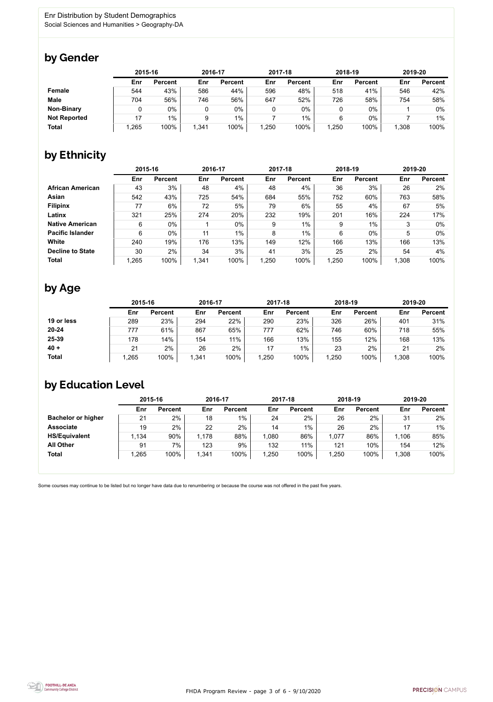FHDA Program Review - page 3 of 6 - 9/10/2020



Some courses may continue to be listed but no longer have data due to renumbering or because the course was not offered in the past five years.



### by Gender

|                     | 2015-16 |                |       | 2016-17        |       | 2017-18        |       | 2018-19        |       | 2019-20        |  |
|---------------------|---------|----------------|-------|----------------|-------|----------------|-------|----------------|-------|----------------|--|
|                     | Enr     | <b>Percent</b> | Enr   | <b>Percent</b> | Enr   | <b>Percent</b> | Enr   | <b>Percent</b> | Enr   | <b>Percent</b> |  |
| <b>Female</b>       | 544     | 43%            | 586   | 44%            | 596   | 48%            | 518   | 41%            | 546   | 42%            |  |
| <b>Male</b>         | 704     | 56%            | 746   | 56%            | 647   | 52%            | 726   | 58%            | 754   | 58%            |  |
| <b>Non-Binary</b>   |         | 0%             |       | $0\%$          |       | $0\%$          |       | $0\%$          |       | 0%             |  |
| <b>Not Reported</b> | 17      | $1\%$          |       | $1\%$          |       | 1%             | 6     | $0\%$          |       | 1%             |  |
| <b>Total</b>        | .265    | 100%           | 1,341 | 100%           | 1,250 | 100%           | 1,250 | 100%           | 1,308 | 100%           |  |

## by Ethnicity

|                         | 2015-16 |                |       | 2016-17        |       | 2017-18        | 2018-19 |                | 2019-20 |                |
|-------------------------|---------|----------------|-------|----------------|-------|----------------|---------|----------------|---------|----------------|
|                         | Enr     | <b>Percent</b> | Enr   | <b>Percent</b> | Enr   | <b>Percent</b> | Enr     | <b>Percent</b> | Enr     | <b>Percent</b> |
| <b>African American</b> | 43      | 3%             | 48    | 4%             | 48    | 4%             | 36      | 3%             | 26      | $2\%$          |
| <b>Asian</b>            | 542     | 43%            | 725   | 54%            | 684   | 55%            | 752     | 60%            | 763     | 58%            |
| <b>Filipinx</b>         | 77      | 6%             | 72    | 5%             | 79    | 6%             | 55      | 4%             | 67      | 5%             |
| Latinx                  | 321     | 25%            | 274   | 20%            | 232   | 19%            | 201     | 16%            | 224     | 17%            |
| <b>Native American</b>  | 6       | $0\%$          |       | $0\%$          | 9     | 1%             | 9       | 1%             | 3       | $0\%$          |
| <b>Pacific Islander</b> | 6       | $0\%$          | 11    | $1\%$          | 8     | $1\%$          | 6       | $0\%$          | 5       | $0\%$          |
| White                   | 240     | 19%            | 176   | 13%            | 149   | 12%            | 166     | 13%            | 166     | 13%            |
| <b>Decline to State</b> | 30      | 2%             | 34    | 3%             | 41    | 3%             | 25      | 2%             | 54      | 4%             |
| <b>Total</b>            | 1,265   | 100%           | 1,341 | 100%           | 1,250 | 100%           | 1,250   | 100%           | 1,308   | 100%           |

### by Age

|              |      | 2015-16        |       | 2016-17        |      | 2017-18        |      | 2018-19        | 2019-20 |                |
|--------------|------|----------------|-------|----------------|------|----------------|------|----------------|---------|----------------|
|              | Enr  | <b>Percent</b> | Enr   | <b>Percent</b> | Enr  | <b>Percent</b> | Enr  | <b>Percent</b> | Enr     | <b>Percent</b> |
| 19 or less   | 289  | 23%            | 294   | 22%            | 290  | 23%            | 326  | 26%            | 401     | 31%            |
| $20 - 24$    | 777  | 61%            | 867   | 65%            | 777  | 62%            | 746  | 60%            | 718     | 55%            |
| 25-39        | 178  | 14%            | 154   | 11%            | 166  | 13%            | 155  | 12%            | 168     | 13%            |
| $40 +$       | 21   | 2%             | 26    | 2%             | 17   | $1\%$          | 23   | 2%             | 21      | 2%             |
| <b>Total</b> | ,265 | 100%           | 1,341 | 100%           | ,250 | 100%           | ,250 | 100%           | 1,308   | 100%           |

### by Education Level

|                           | 2015-16 |                |       | 2016-17        |      | 2017-18        |       | 2018-19        | 2019-20 |                |
|---------------------------|---------|----------------|-------|----------------|------|----------------|-------|----------------|---------|----------------|
|                           | Enr     | <b>Percent</b> | Enr   | <b>Percent</b> | Enr  | <b>Percent</b> | Enr   | <b>Percent</b> | Enr     | <b>Percent</b> |
| <b>Bachelor or higher</b> | 21      | 2%             | 18    | $1\%$          | 24   | 2%             | 26    | 2%             | 31      | 2%             |
| <b>Associate</b>          | 19      | 2%             | 22    | 2%             | 14   | $1\%$          | 26    | 2%             |         | $1\%$          |
| <b>HS/Equivalent</b>      | l,134   | 90%            | 1,178 | 88%            | .080 | 86%            | 1,077 | 86%            | 1,106   | 85%            |
| <b>All Other</b>          | 91      | 7%             | 123   | 9%             | 132  | 11%            | 121   | 10%            | 154     | 12%            |
| <b>Total</b>              | ,265    | 100%           | 1,341 | 100%           | ,250 | 100%           | 1,250 | 100%           | 1,308   | 100%           |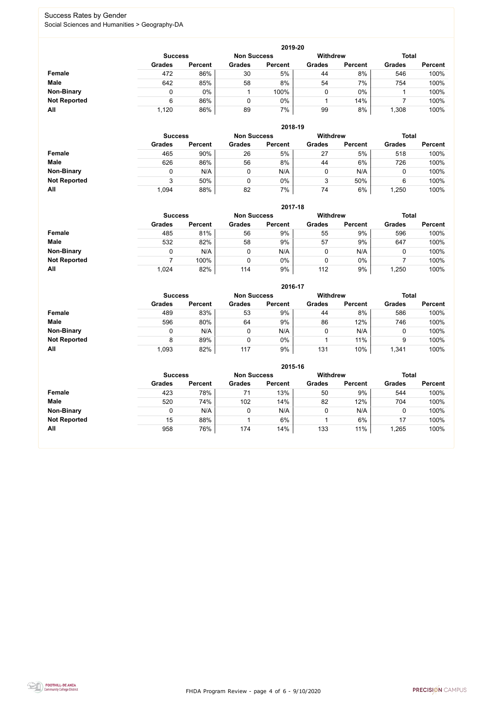FHDA Program Review - page 4 of 6 - 9/10/2020



### Success Rates by Gender Social Sciences and Humanities > Geography-DA

|                     | 2019-20        |                |                    |                |                 |                |               |                |  |  |  |  |  |
|---------------------|----------------|----------------|--------------------|----------------|-----------------|----------------|---------------|----------------|--|--|--|--|--|
|                     | <b>Success</b> |                | <b>Non Success</b> |                | <b>Withdrew</b> |                | <b>Total</b>  |                |  |  |  |  |  |
|                     | <b>Grades</b>  | <b>Percent</b> | <b>Grades</b>      | <b>Percent</b> | <b>Grades</b>   | <b>Percent</b> | <b>Grades</b> | <b>Percent</b> |  |  |  |  |  |
| Female              | 472            | 86%            | 30                 | 5%             | 44              | 8%             | 546           | 100%           |  |  |  |  |  |
| <b>Male</b>         | 642            | 85%            | 58                 | 8%             | 54              | 7%             | 754           | 100%           |  |  |  |  |  |
| <b>Non-Binary</b>   |                | $0\%$          |                    | 100%           | 0               | $0\%$          |               | 100%           |  |  |  |  |  |
| <b>Not Reported</b> | 6              | 86%            |                    | 0%             |                 | 14%            |               | 100%           |  |  |  |  |  |
| All                 | 1,120          | 86%            | 89                 | 7%             | 99              | 8%             | ,308          | 100%           |  |  |  |  |  |

|                     | 2018-19       |                                      |               |                |                 |                |               |                |  |  |  |  |  |
|---------------------|---------------|--------------------------------------|---------------|----------------|-----------------|----------------|---------------|----------------|--|--|--|--|--|
|                     |               | <b>Non Success</b><br><b>Success</b> |               |                | <b>Withdrew</b> |                | <b>Total</b>  |                |  |  |  |  |  |
|                     | <b>Grades</b> | <b>Percent</b>                       | <b>Grades</b> | <b>Percent</b> | <b>Grades</b>   | <b>Percent</b> | <b>Grades</b> | <b>Percent</b> |  |  |  |  |  |
| <b>Female</b>       | 465           | 90%                                  | 26            | 5%             | 27              | 5%             | 518           | 100%           |  |  |  |  |  |
| <b>Male</b>         | 626           | 86%                                  | 56            | 8%             | 44              | 6%             | 726           | 100%           |  |  |  |  |  |
| <b>Non-Binary</b>   | 0             | N/A                                  |               | N/A            | ν               | N/A            | U             | 100%           |  |  |  |  |  |
| <b>Not Reported</b> | 3             | 50%                                  |               | $0\%$          | 2<br>J          | 50%            | 6             | 100%           |  |  |  |  |  |
| All                 | 1,094         | 88%                                  | 82            | 7%             | 74              | 6%             | .250          | 100%           |  |  |  |  |  |

|                     | 2017-18       |                                      |               |                |               |                 |               |                |  |  |  |  |  |
|---------------------|---------------|--------------------------------------|---------------|----------------|---------------|-----------------|---------------|----------------|--|--|--|--|--|
|                     |               | <b>Non Success</b><br><b>Success</b> |               |                |               | <b>Withdrew</b> | <b>Total</b>  |                |  |  |  |  |  |
|                     | <b>Grades</b> | <b>Percent</b>                       | <b>Grades</b> | <b>Percent</b> | <b>Grades</b> | <b>Percent</b>  | <b>Grades</b> | <b>Percent</b> |  |  |  |  |  |
| <b>Female</b>       | 485           | 81%                                  | 56            | 9%             | 55            | 9%              | 596           | 100%           |  |  |  |  |  |
| <b>Male</b>         | 532           | 82%                                  | 58            | 9%             | 57            | 9%              | 647           | 100%           |  |  |  |  |  |
| <b>Non-Binary</b>   |               | N/A                                  |               | N/A            | 0             | N/A             | υ             | 100%           |  |  |  |  |  |
| <b>Not Reported</b> |               | 100%                                 | 0             | 0%             | 0             | $0\%$           |               | 100%           |  |  |  |  |  |
| All                 | 1,024         | 82%                                  | 114           | 9%             | 112           | 9%              | ,250          | 100%           |  |  |  |  |  |

|                     | 2016-17        |                    |               |                 |               |                |               |                |  |
|---------------------|----------------|--------------------|---------------|-----------------|---------------|----------------|---------------|----------------|--|
|                     | <b>Success</b> | <b>Non Success</b> |               | <b>Withdrew</b> |               | <b>Total</b>   |               |                |  |
|                     | <b>Grades</b>  | <b>Percent</b>     | <b>Grades</b> | <b>Percent</b>  | <b>Grades</b> | <b>Percent</b> | <b>Grades</b> | <b>Percent</b> |  |
| <b>Female</b>       | 489            | 83%                | 53            | 9%              | 44            | 8%             | 586           | 100%           |  |
| <b>Male</b>         | 596            | 80%                | 64            | 9%              | 86            | 12%            | 746           | 100%           |  |
| <b>Non-Binary</b>   | 0              | N/A                |               | N/A             | 0             | N/A            | 0             | 100%           |  |
| <b>Not Reported</b> | 8              | 89%                |               | $0\%$           |               | 11%            | 9             | 100%           |  |
| All                 | 1,093          | 82%                | 117           | 9%              | 131           | 10%            | 1,341         | 100%           |  |

|                     |               | 2015-16                              |               |                |                 |                |               |                |  |  |
|---------------------|---------------|--------------------------------------|---------------|----------------|-----------------|----------------|---------------|----------------|--|--|
|                     |               | <b>Non Success</b><br><b>Success</b> |               |                | <b>Withdrew</b> |                | <b>Total</b>  |                |  |  |
|                     | <b>Grades</b> | <b>Percent</b>                       | <b>Grades</b> | <b>Percent</b> | <b>Grades</b>   | <b>Percent</b> | <b>Grades</b> | <b>Percent</b> |  |  |
| Female              | 423           | 78%                                  | 71            | 13%            | 50              | 9%             | 544           | 100%           |  |  |
| <b>Male</b>         | 520           | 74%                                  | 102           | 14%            | 82              | 12%            | 704           | 100%           |  |  |
| <b>Non-Binary</b>   | 0             | N/A                                  | 0             | N/A            |                 | N/A            |               | 100%           |  |  |
| <b>Not Reported</b> | 15            | 88%                                  |               | 6%             |                 | 6%             | 17            | 100%           |  |  |
| All                 | 958           | 76%                                  | 174           | 14%            | 133             | 11%            | 1,265         | 100%           |  |  |

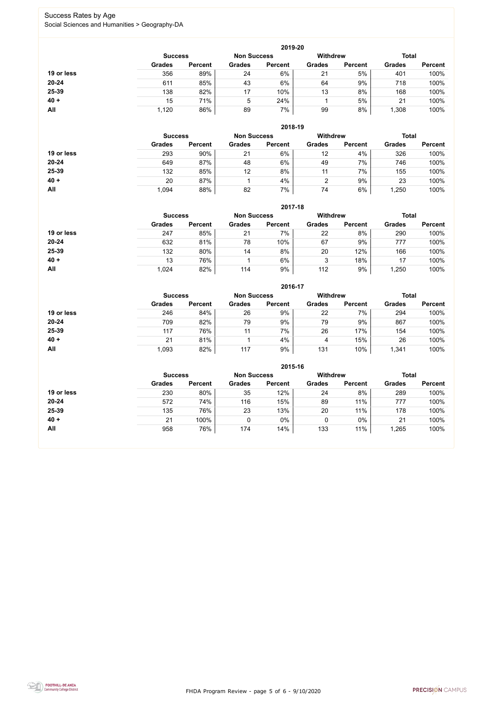FHDA Program Review - page 5 of 6 - 9/10/2020



### Success Rates by Age Social Sciences and Humanities > Geography-DA

|            | 2019-20        |                    |               |                 |               |                |               |                |  |
|------------|----------------|--------------------|---------------|-----------------|---------------|----------------|---------------|----------------|--|
|            | <b>Success</b> | <b>Non Success</b> |               | <b>Withdrew</b> |               | <b>Total</b>   |               |                |  |
|            | <b>Grades</b>  | <b>Percent</b>     | <b>Grades</b> | <b>Percent</b>  | <b>Grades</b> | <b>Percent</b> | <b>Grades</b> | <b>Percent</b> |  |
| 19 or less | 356            | 89%                | 24            | 6%              | 21            | 5%             | 401           | 100%           |  |
| $20 - 24$  | 611            | 85%                | 43            | 6%              | 64            | 9%             | 718           | 100%           |  |
| 25-39      | 138            | 82%                | 17            | 10%             | 13            | 8%             | 168           | 100%           |  |
| $40 +$     | 15             | 71%                | 5             | 24%             |               | 5%             | 21            | 100%           |  |
| All        | 1,120          | 86%                | 89            | 7%              | 99            | 8%             | ,308          | 100%           |  |

|            | 2018-19        |                    |               |                 |               |                |               |                |  |
|------------|----------------|--------------------|---------------|-----------------|---------------|----------------|---------------|----------------|--|
|            | <b>Success</b> | <b>Non Success</b> |               | <b>Withdrew</b> |               | <b>Total</b>   |               |                |  |
|            | <b>Grades</b>  | <b>Percent</b>     | <b>Grades</b> | <b>Percent</b>  | <b>Grades</b> | <b>Percent</b> | <b>Grades</b> | <b>Percent</b> |  |
| 19 or less | 293            | 90%                | 21            | 6%              | 12            | 4%             | 326           | 100%           |  |
| $20 - 24$  | 649            | 87%                | 48            | 6%              | 49            | 7%             | 746           | 100%           |  |
| 25-39      | 132            | 85%                | 12            | 8%              | 11            | 7%             | 155           | 100%           |  |
| $40 +$     | 20             | 87%                |               | 4%              | ◠             | 9%             | 23            | 100%           |  |
| All        | 1,094          | 88%                | 82            | 7%              | 74            | 6%             | ,250          | 100%           |  |

|            | 2017-18                              |                |               |                |                 |                |               |                |  |
|------------|--------------------------------------|----------------|---------------|----------------|-----------------|----------------|---------------|----------------|--|
|            | <b>Non Success</b><br><b>Success</b> |                |               |                | <b>Withdrew</b> |                | <b>Total</b>  |                |  |
|            | <b>Grades</b>                        | <b>Percent</b> | <b>Grades</b> | <b>Percent</b> | <b>Grades</b>   | <b>Percent</b> | <b>Grades</b> | <b>Percent</b> |  |
| 19 or less | 247                                  | 85%            | 21            | 7%             | 22              | 8%             | 290           | 100%           |  |
| 20-24      | 632                                  | 81%            | 78            | 10%            | 67              | 9%             | 777           | 100%           |  |
| 25-39      | 132                                  | 80%            | 14            | 8%             | 20              | 12%            | 166           | 100%           |  |
| $40 +$     | 13                                   | 76%            |               | 6%             | 3               | 18%            | 17            | 100%           |  |
| <b>All</b> | 1,024                                | 82%            | 114           | 9%             | 112             | 9%             | ,250          | 100%           |  |

|            |                                      |                |               | 2016-17        |                 |                |               |                |
|------------|--------------------------------------|----------------|---------------|----------------|-----------------|----------------|---------------|----------------|
|            | <b>Non Success</b><br><b>Success</b> |                |               |                | <b>Withdrew</b> |                | <b>Total</b>  |                |
|            | <b>Grades</b>                        | <b>Percent</b> | <b>Grades</b> | <b>Percent</b> | <b>Grades</b>   | <b>Percent</b> | <b>Grades</b> | <b>Percent</b> |
| 19 or less | 246                                  | 84%            | 26            | 9%             | 22              | 7%             | 294           | 100%           |
| $20 - 24$  | 709                                  | 82%            | 79            | 9%             | 79              | 9%             | 867           | 100%           |
| 25-39      | 117                                  | 76%            | 11            | 7%             | 26              | 17%            | 154           | 100%           |
| $40 +$     | 21                                   | 81%            |               | 4%             | 4               | 15%            | 26            | 100%           |
| All        | 1,093                                | 82%            | 117           | 9%             | 131             | 10%            | 1,341         | 100%           |

|            |                                      |                |               | 2015-16        |                 |                |               |                |
|------------|--------------------------------------|----------------|---------------|----------------|-----------------|----------------|---------------|----------------|
|            | <b>Non Success</b><br><b>Success</b> |                |               |                | <b>Withdrew</b> |                | <b>Total</b>  |                |
|            | <b>Grades</b>                        | <b>Percent</b> | <b>Grades</b> | <b>Percent</b> | <b>Grades</b>   | <b>Percent</b> | <b>Grades</b> | <b>Percent</b> |
| 19 or less | 230                                  | 80%            | 35            | 12%            | 24              | 8%             | 289           | 100%           |
| $20 - 24$  | 572                                  | 74%            | 116           | 15%            | 89              | 11%            | 777           | 100%           |
| 25-39      | 135                                  | 76%            | 23            | 13%            | 20              | 11%            | 178           | 100%           |
| $40 +$     | 21                                   | 100%           |               | 0%             |                 | $0\%$          | 21            | 100%           |
| All        | 958                                  | 76%            | 174           | 14%            | 133             | 11%            | .265          | 100%           |